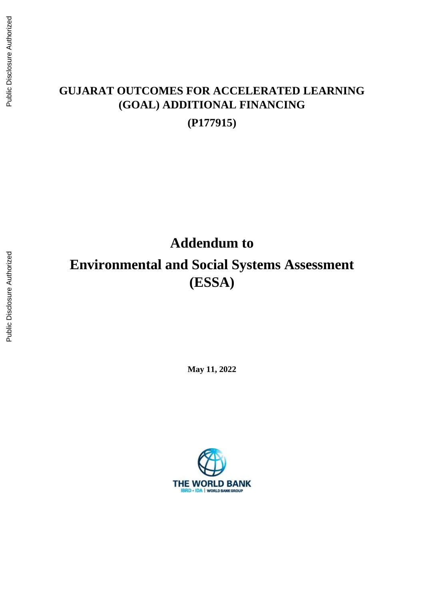# **GUJARAT OUTCOMES FOR ACCELERATED LEARNING (GOAL) ADDITIONAL FINANCING (P177915)**

**Addendum to**

# **Environmental and Social Systems Assessment (ESSA)**

**May 11, 2022** 

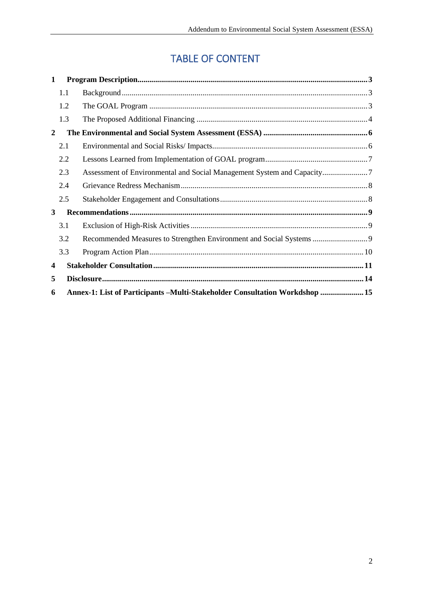# TABLE OF CONTENT

| 1                       |     |                                                                              |  |  |  |
|-------------------------|-----|------------------------------------------------------------------------------|--|--|--|
|                         | 1.1 |                                                                              |  |  |  |
|                         | 1.2 |                                                                              |  |  |  |
|                         | 1.3 |                                                                              |  |  |  |
| 2                       |     |                                                                              |  |  |  |
|                         | 2.1 |                                                                              |  |  |  |
|                         | 2.2 |                                                                              |  |  |  |
|                         | 2.3 |                                                                              |  |  |  |
|                         | 2.4 |                                                                              |  |  |  |
|                         | 2.5 |                                                                              |  |  |  |
| 3                       |     |                                                                              |  |  |  |
|                         | 3.1 |                                                                              |  |  |  |
|                         | 3.2 |                                                                              |  |  |  |
|                         | 3.3 |                                                                              |  |  |  |
| $\overline{\mathbf{4}}$ |     |                                                                              |  |  |  |
| 5                       |     |                                                                              |  |  |  |
| 6                       |     | Annex-1: List of Participants – Multi-Stakeholder Consultation Workdshop  15 |  |  |  |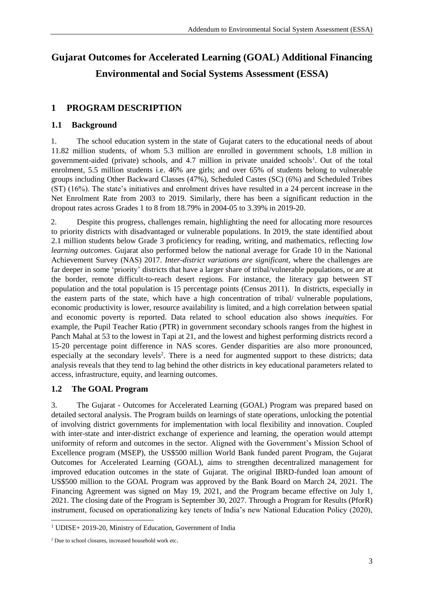# **Gujarat Outcomes for Accelerated Learning (GOAL) Additional Financing Environmental and Social Systems Assessment (ESSA)**

# <span id="page-2-0"></span>**1 PROGRAM DESCRIPTION**

## <span id="page-2-1"></span>**1.1 Background**

1. The school education system in the state of Gujarat caters to the educational needs of about 11.82 million students, of whom 5.3 million are enrolled in government schools, 1.8 million in government-aided (private) schools, and 4.7 million in private unaided schools<sup>1</sup>. Out of the total enrolment, 5.5 million students i.e. 46% are girls; and over 65% of students belong to vulnerable groups including Other Backward Classes (47%), Scheduled Castes (SC) (6%) and Scheduled Tribes (ST) (16%). The state's initiatives and enrolment drives have resulted in a 24 percent increase in the Net Enrolment Rate from 2003 to 2019. Similarly, there has been a significant reduction in the dropout rates across Grades 1 to 8 from 18.79% in 2004-05 to 3.39% in 2019-20.

2. Despite this progress, challenges remain, highlighting the need for allocating more resources to priority districts with disadvantaged or vulnerable populations. In 2019, the state identified about 2.1 million students below Grade 3 proficiency for reading, writing, and mathematics, reflecting *low learning outcomes*. Gujarat also performed below the national average for Grade 10 in the National Achievement Survey (NAS) 2017. *Inter-district variations are significant,* where the challenges are far deeper in some 'priority' districts that have a larger share of tribal/vulnerable populations, or are at the border, remote difficult-to-reach desert regions. For instance, the literacy gap between ST population and the total population is 15 percentage points (Census 2011). In districts, especially in the eastern parts of the state, which have a high concentration of tribal/ vulnerable populations, economic productivity is lower, resource availability is limited, and a high correlation between spatial and economic poverty is reported. Data related to school education also shows *inequities.* For example, the Pupil Teacher Ratio (PTR) in government secondary schools ranges from the highest in Panch Mahal at 53 to the lowest in Tapi at 21, and the lowest and highest performing districts record a 15-20 percentage point difference in NAS scores. Gender disparities are also more pronounced, especially at the secondary levels<sup>2</sup>. There is a need for augmented support to these districts; data analysis reveals that they tend to lag behind the other districts in key educational parameters related to access, infrastructure, equity, and learning outcomes.

## <span id="page-2-2"></span>**1.2 The GOAL Program**

3. The Gujarat - Outcomes for Accelerated Learning (GOAL) Program was prepared based on detailed sectoral analysis. The Program builds on learnings of state operations, unlocking the potential of involving district governments for implementation with local flexibility and innovation. Coupled with inter-state and inter-district exchange of experience and learning, the operation would attempt uniformity of reform and outcomes in the sector. Aligned with the Government's Mission School of Excellence program (MSEP), the US\$500 million World Bank funded parent Program, the Gujarat Outcomes for Accelerated Learning (GOAL), aims to strengthen decentralized management for improved education outcomes in the state of Gujarat. The original IBRD-funded loan amount of US\$500 million to the GOAL Program was approved by the Bank Board on March 24, 2021. The Financing Agreement was signed on May 19, 2021, and the Program became effective on July 1, 2021. The closing date of the Program is September 30, 2027. Through a Program for Results (PforR) instrument, focused on operationalizing key tenets of India's new National Education Policy (2020),

<sup>-</sup><sup>1</sup> UDISE+ 2019-20, Ministry of Education, Government of India

<sup>2</sup> Due to school closures, increased household work etc.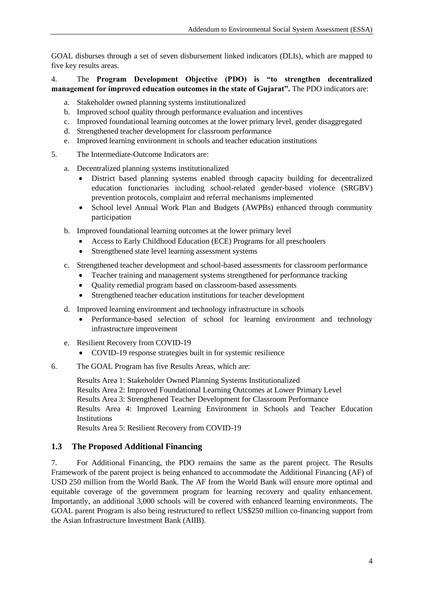GOAL disburses through a set of seven disbursement linked indicators (DLIs), which are mapped to five key results areas.

#### 4. The **Program Development Objective (PDO) is "to strengthen decentralized management for improved education outcomes in the state of Gujarat".** The PDO indicators are:

- a. Stakeholder owned planning systems institutionalized
- b. Improved school quality through performance evaluation and incentives
- c. Improved foundational learning outcomes at the lower primary level, gender disaggregated
- d. Strengthened teacher development for classroom performance
- e. Improved learning environment in schools and teacher education institutions
- 5. The Intermediate-Outcome Indicators are:
	- a. Decentralized planning systems institutionalized
		- District based planning systems enabled through capacity building for decentralized education functionaries including school-related gender-based violence (SRGBV) prevention protocols, complaint and referral mechanisms implemented
		- School level Annual Work Plan and Budgets (AWPBs) enhanced through community participation
	- b. Improved foundational learning outcomes at the lower primary level
		- Access to Early Childhood Education (ECE) Programs for all preschoolers
		- Strengthened state level learning assessment systems
	- c. Strengthened teacher development and school-based assessments for classroom performance
		- Teacher training and management systems strengthened for performance tracking
		- Quality remedial program based on classroom-based assessments
		- Strengthened teacher education institutions for teacher development
	- d. Improved learning environment and technology infrastructure in schools
		- Performance-based selection of school for learning environment and technology infrastructure improvement
	- e. Resilient Recovery from COVID-19
		- COVID-19 response strategies built in for systemic resilience
- 6. The GOAL Program has five Results Areas, which are:

Results Area 1: Stakeholder Owned Planning Systems Institutionalized Results Area 2: Improved Foundational Learning Outcomes at Lower Primary Level Results Area 3: Strengthened Teacher Development for Classroom Performance Results Area 4: Improved Learning Environment in Schools and Teacher Education **Institutions** 

Results Area 5: Resilient Recovery from COVID-19

#### <span id="page-3-0"></span>**1.3 The Proposed Additional Financing**

7. For Additional Financing, the PDO remains the same as the parent project. The Results Framework of the parent project is being enhanced to accommodate the Additional Financing (AF) of USD 250 million from the World Bank. The AF from the World Bank will ensure more optimal and equitable coverage of the government program for learning recovery and quality enhancement. Importantly, an additional 3,000 schools will be covered with enhanced learning environments. The GOAL parent Program is also being restructured to reflect US\$250 million co-financing support from the Asian Infrastructure Investment Bank (AIIB).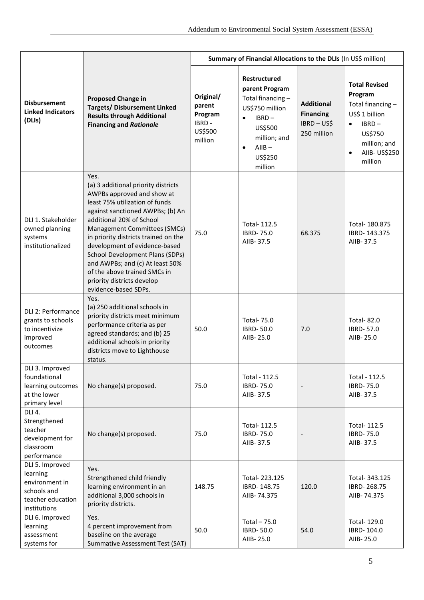|                                                                                                   | <b>Proposed Change in</b><br><b>Targets/ Disbursement Linked</b><br><b>Results through Additional</b><br><b>Financing and Rationale</b>                                                                                                                                                                                                                                                                                                                 | Summary of Financial Allocations to the DLIs (In US\$ million) |                                                                                                                                                                               |                                                                   |                                                                                                                                                                    |
|---------------------------------------------------------------------------------------------------|---------------------------------------------------------------------------------------------------------------------------------------------------------------------------------------------------------------------------------------------------------------------------------------------------------------------------------------------------------------------------------------------------------------------------------------------------------|----------------------------------------------------------------|-------------------------------------------------------------------------------------------------------------------------------------------------------------------------------|-------------------------------------------------------------------|--------------------------------------------------------------------------------------------------------------------------------------------------------------------|
| <b>Disbursement</b><br><b>Linked Indicators</b><br>(DLIs)                                         |                                                                                                                                                                                                                                                                                                                                                                                                                                                         | Original/<br>parent<br>Program<br>IBRD -<br>US\$500<br>million | <b>Restructured</b><br>parent Program<br>Total financing-<br>US\$750 million<br>IBRD-<br>$\bullet$<br>US\$500<br>million; and<br>$A IIB -$<br>$\bullet$<br>US\$250<br>million | <b>Additional</b><br><b>Financing</b><br>IBRD-US\$<br>250 million | <b>Total Revised</b><br>Program<br>Total financing-<br>US\$ 1 billion<br>$IBRD -$<br>$\bullet$<br>US\$750<br>million; and<br>AIIB- US\$250<br>$\bullet$<br>million |
| DLI 1. Stakeholder<br>owned planning<br>systems<br>institutionalized                              | Yes.<br>(a) 3 additional priority districts<br>AWPBs approved and show at<br>least 75% utilization of funds<br>against sanctioned AWPBs; (b) An<br>additional 20% of School<br>Management Committees (SMCs)<br>in priority districts trained on the<br>development of evidence-based<br><b>School Development Plans (SDPs)</b><br>and AWPBs; and (c) At least 50%<br>of the above trained SMCs in<br>priority districts develop<br>evidence-based SDPs. | 75.0                                                           | Total- 112.5<br><b>IBRD-75.0</b><br>AIIB-37.5                                                                                                                                 | 68.375                                                            | Total- 180.875<br>IBRD-143.375<br>AIIB-37.5                                                                                                                        |
| DLI 2: Performance<br>grants to schools<br>to incentivize<br>improved<br>outcomes                 | Yes.<br>(a) 250 additional schools in<br>priority districts meet minimum<br>performance criteria as per<br>agreed standards; and (b) 25<br>additional schools in priority<br>districts move to Lighthouse<br>status.                                                                                                                                                                                                                                    | 50.0                                                           | <b>Total-75.0</b><br><b>IBRD-50.0</b><br>AIIB-25.0                                                                                                                            | 7.0                                                               | <b>Total-82.0</b><br>IBRD-57.0<br>AIIB-25.0                                                                                                                        |
| DLI 3. Improved<br>foundational<br>learning outcomes<br>at the lower<br>primary level             | No change(s) proposed.                                                                                                                                                                                                                                                                                                                                                                                                                                  | 75.0                                                           | Total - 112.5<br><b>IBRD-75.0</b><br>AIIB-37.5                                                                                                                                |                                                                   | Total - 112.5<br><b>IBRD-75.0</b><br>AIIB-37.5                                                                                                                     |
| DLI 4.<br>Strengthened<br>teacher<br>development for<br>classroom<br>performance                  | No change(s) proposed.                                                                                                                                                                                                                                                                                                                                                                                                                                  | 75.0                                                           | Total- 112.5<br><b>IBRD-75.0</b><br>AIIB-37.5                                                                                                                                 |                                                                   | Total- 112.5<br><b>IBRD-75.0</b><br>AIIB-37.5                                                                                                                      |
| DLI 5. Improved<br>learning<br>environment in<br>schools and<br>teacher education<br>institutions | Yes.<br>Strengthened child friendly<br>learning environment in an<br>additional 3,000 schools in<br>priority districts.                                                                                                                                                                                                                                                                                                                                 | 148.75                                                         | Total-223.125<br>IBRD-148.75<br>AIIB-74.375                                                                                                                                   | 120.0                                                             | Total- 343.125<br>IBRD-268.75<br>AIIB-74.375                                                                                                                       |
| DLI 6. Improved<br>learning<br>assessment<br>systems for                                          | Yes.<br>4 percent improvement from<br>baseline on the average<br>Summative Assessment Test (SAT)                                                                                                                                                                                                                                                                                                                                                        | 50.0                                                           | Total $-75.0$<br><b>IBRD-50.0</b><br>AIIB-25.0                                                                                                                                | 54.0                                                              | Total- 129.0<br>IBRD-104.0<br>AIIB-25.0                                                                                                                            |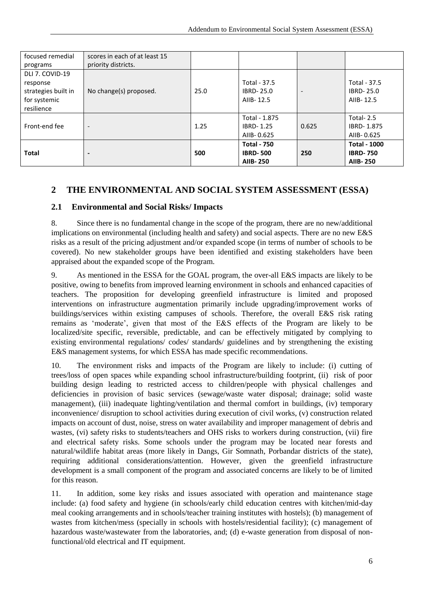| focused remedial    | scores in each of at least 15 |      |                    |                          |                     |
|---------------------|-------------------------------|------|--------------------|--------------------------|---------------------|
| programs            | priority districts.           |      |                    |                          |                     |
| DLI 7. COVID-19     |                               |      |                    |                          |                     |
| response            |                               |      | Total - 37.5       |                          | Total - 37.5        |
| strategies built in | No change(s) proposed.        | 25.0 | <b>IBRD-25.0</b>   | $\overline{\phantom{a}}$ | <b>IBRD-25.0</b>    |
| for systemic        |                               |      | AIIB-12.5          |                          | AIIB-12.5           |
| resilience          |                               |      |                    |                          |                     |
|                     |                               |      | Total - 1.875      |                          | Total-2.5           |
| Front-end fee       | $\overline{\phantom{a}}$      | 1.25 | <b>IBRD-1.25</b>   | 0.625                    | IBRD-1.875          |
|                     |                               |      | AIIB-0.625         |                          | AIIB-0.625          |
|                     |                               |      | <b>Total - 750</b> |                          | <b>Total - 1000</b> |
| <b>Total</b>        | $\overline{\phantom{0}}$      | 500  | <b>IBRD-500</b>    | 250                      | <b>IBRD-750</b>     |
|                     |                               |      | <b>AIIB-250</b>    |                          | <b>AIIB-250</b>     |

## <span id="page-5-0"></span>**2 THE ENVIRONMENTAL AND SOCIAL SYSTEM ASSESSMENT (ESSA)**

#### <span id="page-5-1"></span>**2.1 Environmental and Social Risks/ Impacts**

8. Since there is no fundamental change in the scope of the program, there are no new/additional implications on environmental (including health and safety) and social aspects. There are no new E&S risks as a result of the pricing adjustment and/or expanded scope (in terms of number of schools to be covered). No new stakeholder groups have been identified and existing stakeholders have been appraised about the expanded scope of the Program.

9. As mentioned in the ESSA for the GOAL program, the over-all E&S impacts are likely to be positive, owing to benefits from improved learning environment in schools and enhanced capacities of teachers. The proposition for developing greenfield infrastructure is limited and proposed interventions on infrastructure augmentation primarily include upgrading/improvement works of buildings/services within existing campuses of schools. Therefore, the overall E&S risk rating remains as 'moderate', given that most of the E&S effects of the Program are likely to be localized/site specific, reversible, predictable, and can be effectively mitigated by complying to existing environmental regulations/ codes/ standards/ guidelines and by strengthening the existing E&S management systems, for which ESSA has made specific recommendations.

10. The environment risks and impacts of the Program are likely to include: (i) cutting of trees/loss of open spaces while expanding school infrastructure/building footprint, (ii) risk of poor building design leading to restricted access to children/people with physical challenges and deficiencies in provision of basic services (sewage/waste water disposal; drainage; solid waste management), (iii) inadequate lighting/ventilation and thermal comfort in buildings, (iv) temporary inconvenience/ disruption to school activities during execution of civil works, (v) construction related impacts on account of dust, noise, stress on water availability and improper management of debris and wastes, (vi) safety risks to students/teachers and OHS risks to workers during construction, (vii) fire and electrical safety risks. Some schools under the program may be located near forests and natural/wildlife habitat areas (more likely in Dangs, Gir Somnath, Porbandar districts of the state), requiring additional considerations/attention. However, given the greenfield infrastructure development is a small component of the program and associated concerns are likely to be of limited for this reason.

11. In addition, some key risks and issues associated with operation and maintenance stage include: (a) food safety and hygiene (in schools/early child education centres with kitchen/mid-day meal cooking arrangements and in schools/teacher training institutes with hostels); (b) management of wastes from kitchen/mess (specially in schools with hostels/residential facility); (c) management of hazardous waste/wastewater from the laboratories, and; (d) e-waste generation from disposal of nonfunctional/old electrical and IT equipment.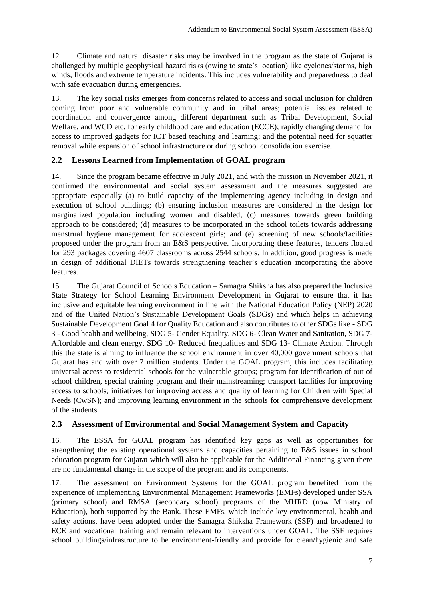12. Climate and natural disaster risks may be involved in the program as the state of Gujarat is challenged by multiple geophysical hazard risks (owing to state's location) like cyclones/storms, high winds, floods and extreme temperature incidents. This includes vulnerability and preparedness to deal with safe evacuation during emergencies.

13. The key social risks emerges from concerns related to access and social inclusion for children coming from poor and vulnerable community and in tribal areas; potential issues related to coordination and convergence among different department such as Tribal Development, Social Welfare, and WCD etc. for early childhood care and education (ECCE); rapidly changing demand for access to improved gadgets for ICT based teaching and learning; and the potential need for squatter removal while expansion of school infrastructure or during school consolidation exercise.

## <span id="page-6-0"></span>**2.2 Lessons Learned from Implementation of GOAL program**

14. Since the program became effective in July 2021, and with the mission in November 2021, it confirmed the environmental and social system assessment and the measures suggested are appropriate especially (a) to build capacity of the implementing agency including in design and execution of school buildings; (b) ensuring inclusion measures are considered in the design for marginalized population including women and disabled; (c) measures towards green building approach to be considered; (d) measures to be incorporated in the school toilets towards addressing menstrual hygiene management for adolescent girls; and (e) screening of new schools/facilities proposed under the program from an E&S perspective. Incorporating these features, tenders floated for 293 packages covering 4607 classrooms across 2544 schools. In addition, good progress is made in design of additional DIETs towards strengthening teacher's education incorporating the above features.

15. The Gujarat Council of Schools Education – Samagra Shiksha has also prepared the Inclusive State Strategy for School Learning Environment Development in Gujarat to ensure that it has inclusive and equitable learning environment in line with the National Education Policy (NEP) 2020 and of the United Nation's Sustainable Development Goals (SDGs) and which helps in achieving Sustainable Development Goal 4 for Quality Education and also contributes to other SDGs like - SDG 3 - Good health and wellbeing, SDG 5- Gender Equality, SDG 6- Clean Water and Sanitation, SDG 7- Affordable and clean energy, SDG 10- Reduced Inequalities and SDG 13- Climate Action. Through this the state is aiming to influence the school environment in over 40,000 government schools that Gujarat has and with over 7 million students. Under the GOAL program, this includes facilitating universal access to residential schools for the vulnerable groups; program for identification of out of school children, special training program and their mainstreaming; transport facilities for improving access to schools; initiatives for improving access and quality of learning for Children with Special Needs (CwSN); and improving learning environment in the schools for comprehensive development of the students.

## <span id="page-6-1"></span>**2.3 Assessment of Environmental and Social Management System and Capacity**

16. The ESSA for GOAL program has identified key gaps as well as opportunities for strengthening the existing operational systems and capacities pertaining to E&S issues in school education program for Gujarat which will also be applicable for the Additional Financing given there are no fundamental change in the scope of the program and its components.

17. The assessment on Environment Systems for the GOAL program benefited from the experience of implementing Environmental Management Frameworks (EMFs) developed under SSA (primary school) and RMSA (secondary school) programs of the MHRD (now Ministry of Education), both supported by the Bank. These EMFs, which include key environmental, health and safety actions, have been adopted under the Samagra Shiksha Framework (SSF) and broadened to ECE and vocational training and remain relevant to interventions under GOAL. The SSF requires school buildings/infrastructure to be environment-friendly and provide for clean/hygienic and safe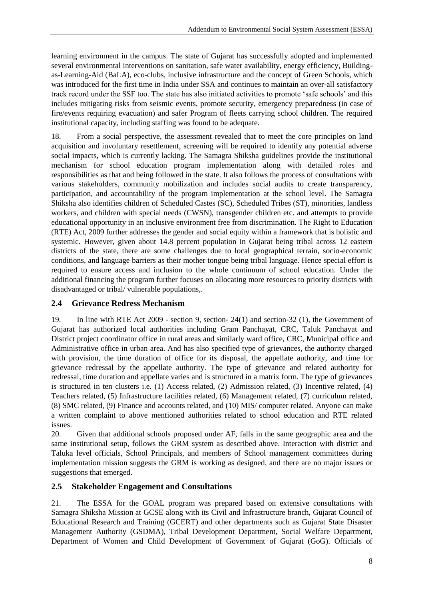learning environment in the campus. The state of Gujarat has successfully adopted and implemented several environmental interventions on sanitation, safe water availability, energy efficiency, Buildingas-Learning-Aid (BaLA), eco-clubs, inclusive infrastructure and the concept of Green Schools, which was introduced for the first time in India under SSA and continues to maintain an over-all satisfactory track record under the SSF too. The state has also initiated activities to promote 'safe schools' and this includes mitigating risks from seismic events, promote security, emergency preparedness (in case of fire/events requiring evacuation) and safer Program of fleets carrying school children. The required institutional capacity, including staffing was found to be adequate.

18. From a social perspective, the assessment revealed that to meet the core principles on land acquisition and involuntary resettlement, screening will be required to identify any potential adverse social impacts, which is currently lacking. The Samagra Shiksha guidelines provide the institutional mechanism for school education program implementation along with detailed roles and responsibilities as that and being followed in the state. It also follows the process of consultations with various stakeholders, community mobilization and includes social audits to create transparency, participation, and accountability of the program implementation at the school level. The Samagra Shiksha also identifies children of Scheduled Castes (SC), Scheduled Tribes (ST), minorities, landless workers, and children with special needs (CWSN), transgender children etc. and attempts to provide educational opportunity in an inclusive environment free from discrimination. The Right to Education (RTE) Act, 2009 further addresses the gender and social equity within a framework that is holistic and systemic. However, given about 14.8 percent population in Gujarat being tribal across 12 eastern districts of the state, there are some challenges due to local geographical terrain, socio-economic conditions, and language barriers as their mother tongue being tribal language. Hence special effort is required to ensure access and inclusion to the whole continuum of school education. Under the additional financing the program further focuses on allocating more resources to priority districts with disadvantaged or tribal/ vulnerable populations,.

#### <span id="page-7-0"></span>**2.4 Grievance Redress Mechanism**

19. In line with RTE Act 2009 - section 9, section- 24(1) and section-32 (1), the Government of Gujarat has authorized local authorities including Gram Panchayat, CRC, Taluk Panchayat and District project coordinator office in rural areas and similarly ward office, CRC, Municipal office and Administrative office in urban area. And has also specified type of grievances, the authority charged with provision, the time duration of office for its disposal, the appellate authority, and time for grievance redressal by the appellate authority. The type of grievance and related authority for redressal, time duration and appellate varies and is structured in a matrix form. The type of grievances is structured in ten clusters i.e. (1) Access related, (2) Admission related, (3) Incentive related, (4) Teachers related, (5) Infrastructure facilities related, (6) Management related, (7) curriculum related, (8) SMC related, (9) Finance and accounts related, and (10) MIS/ computer related. Anyone can make a written complaint to above mentioned authorities related to school education and RTE related issues.

20. Given that additional schools proposed under AF, falls in the same geographic area and the same institutional setup, follows the GRM system as described above. Interaction with district and Taluka level officials, School Principals, and members of School management committees during implementation mission suggests the GRM is working as designed, and there are no major issues or suggestions that emerged.

#### <span id="page-7-1"></span>**2.5 Stakeholder Engagement and Consultations**

21. The ESSA for the GOAL program was prepared based on extensive consultations with Samagra Shiksha Mission at GCSE along with its Civil and Infrastructure branch, Gujarat Council of Educational Research and Training (GCERT) and other departments such as Gujarat State Disaster Management Authority (GSDMA), Tribal Development Department, Social Welfare Department, Department of Women and Child Development of Government of Gujarat (GoG). Officials of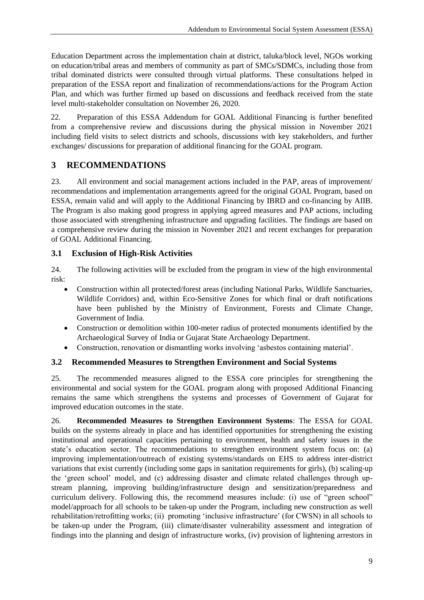Education Department across the implementation chain at district, taluka/block level, NGOs working on education/tribal areas and members of community as part of SMCs/SDMCs, including those from tribal dominated districts were consulted through virtual platforms. These consultations helped in preparation of the ESSA report and finalization of recommendations/actions for the Program Action Plan, and which was further firmed up based on discussions and feedback received from the state level multi-stakeholder consultation on November 26, 2020.

22. Preparation of this ESSA Addendum for GOAL Additional Financing is further benefited from a comprehensive review and discussions during the physical mission in November 2021 including field visits to select districts and schools, discussions with key stakeholders, and further exchanges/ discussions for preparation of additional financing for the GOAL program.

## <span id="page-8-0"></span>**3 RECOMMENDATIONS**

23. All environment and social management actions included in the PAP, areas of improvement/ recommendations and implementation arrangements agreed for the original GOAL Program, based on ESSA, remain valid and will apply to the Additional Financing by IBRD and co-financing by AIIB. The Program is also making good progress in applying agreed measures and PAP actions, including those associated with strengthening infrastructure and upgrading facilities. The findings are based on a comprehensive review during the mission in November 2021 and recent exchanges for preparation of GOAL Additional Financing.

#### <span id="page-8-1"></span>**3.1 Exclusion of High-Risk Activities**

24. The following activities will be excluded from the program in view of the high environmental risk:

- Construction within all protected/forest areas (including National Parks, Wildlife Sanctuaries, Wildlife Corridors) and, within Eco-Sensitive Zones for which final or draft notifications have been published by the Ministry of Environment, Forests and Climate Change, Government of India.
- Construction or demolition within 100-meter radius of protected monuments identified by the Archaeological Survey of India or Gujarat State Archaeology Department.
- Construction, renovation or dismantling works involving 'asbestos containing material'.

#### <span id="page-8-2"></span>**3.2 Recommended Measures to Strengthen Environment and Social Systems**

25. The recommended measures aligned to the ESSA core principles for strengthening the environmental and social system for the GOAL program along with proposed Additional Financing remains the same which strengthens the systems and processes of Government of Gujarat for improved education outcomes in the state.

26. **Recommended Measures to Strengthen Environment Systems**: The ESSA for GOAL builds on the systems already in place and has identified opportunities for strengthening the existing institutional and operational capacities pertaining to environment, health and safety issues in the state's education sector. The recommendations to strengthen environment system focus on: (a) improving implementation/outreach of existing systems/standards on EHS to address inter-district variations that exist currently (including some gaps in sanitation requirements for girls), (b) scaling-up the 'green school' model, and (c) addressing disaster and climate related challenges through upstream planning, improving building/infrastructure design and sensitization/preparedness and curriculum delivery. Following this, the recommend measures include: (i) use of "green school" model/approach for all schools to be taken-up under the Program, including new construction as well rehabilitation/retrofitting works; (ii) promoting 'inclusive infrastructure' (for CWSN) in all schools to be taken-up under the Program, (iii) climate/disaster vulnerability assessment and integration of findings into the planning and design of infrastructure works, (iv) provision of lightening arrestors in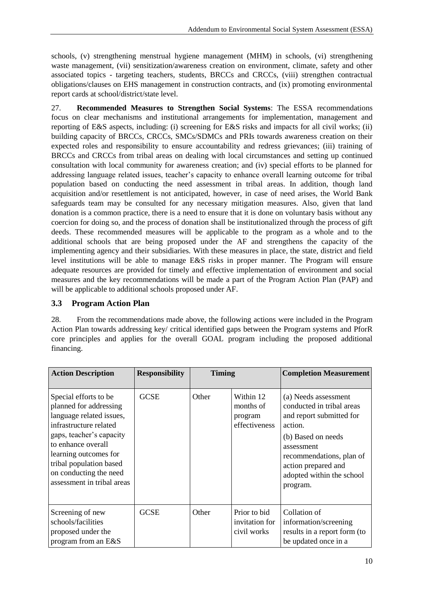schools, (v) strengthening menstrual hygiene management (MHM) in schools, (vi) strengthening waste management, (vii) sensitization/awareness creation on environment, climate, safety and other associated topics - targeting teachers, students, BRCCs and CRCCs, (viii) strengthen contractual obligations/clauses on EHS management in construction contracts, and (ix) promoting environmental report cards at school/district/state level.

27. **Recommended Measures to Strengthen Social Systems**: The ESSA recommendations focus on clear mechanisms and institutional arrangements for implementation, management and reporting of E&S aspects, including: (i) screening for E&S risks and impacts for all civil works; (ii) building capacity of BRCCs, CRCCs, SMCs/SDMCs and PRIs towards awareness creation on their expected roles and responsibility to ensure accountability and redress grievances; (iii) training of BRCCs and CRCCs from tribal areas on dealing with local circumstances and setting up continued consultation with local community for awareness creation; and (iv) special efforts to be planned for addressing language related issues, teacher's capacity to enhance overall learning outcome for tribal population based on conducting the need assessment in tribal areas. In addition, though land acquisition and/or resettlement is not anticipated, however, in case of need arises, the World Bank safeguards team may be consulted for any necessary mitigation measures. Also, given that land donation is a common practice, there is a need to ensure that it is done on voluntary basis without any coercion for doing so, and the process of donation shall be institutionalized through the process of gift deeds. These recommended measures will be applicable to the program as a whole and to the additional schools that are being proposed under the AF and strengthens the capacity of the implementing agency and their subsidiaries. With these measures in place, the state, district and field level institutions will be able to manage E&S risks in proper manner. The Program will ensure adequate resources are provided for timely and effective implementation of environment and social measures and the key recommendations will be made a part of the Program Action Plan (PAP) and will be applicable to additional schools proposed under AF.

#### <span id="page-9-0"></span>**3.3 Program Action Plan**

28. From the recommendations made above, the following actions were included in the Program Action Plan towards addressing key/ critical identified gaps between the Program systems and PforR core principles and applies for the overall GOAL program including the proposed additional financing.

| <b>Action Description</b>                                                                                                                                                                                                                                           | <b>Responsibility</b> | <b>Timing</b> |                                                    | <b>Completion Measurement</b>                                                                                                                                                                                            |
|---------------------------------------------------------------------------------------------------------------------------------------------------------------------------------------------------------------------------------------------------------------------|-----------------------|---------------|----------------------------------------------------|--------------------------------------------------------------------------------------------------------------------------------------------------------------------------------------------------------------------------|
| Special efforts to be<br>planned for addressing<br>language related issues,<br>infrastructure related<br>gaps, teacher's capacity<br>to enhance overall<br>learning outcomes for<br>tribal population based<br>on conducting the need<br>assessment in tribal areas | <b>GCSE</b>           | Other         | Within 12<br>months of<br>program<br>effectiveness | (a) Needs assessment<br>conducted in tribal areas<br>and report submitted for<br>action.<br>(b) Based on needs<br>assessment<br>recommendations, plan of<br>action prepared and<br>adopted within the school<br>program. |
| Screening of new<br>schools/facilities<br>proposed under the<br>program from an E&S                                                                                                                                                                                 | <b>GCSE</b>           | Other         | Prior to bid<br>invitation for<br>civil works      | Collation of<br>information/screening<br>results in a report form (to<br>be updated once in a                                                                                                                            |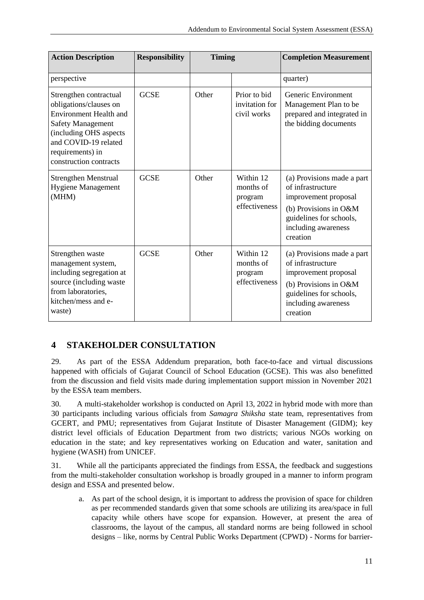| <b>Action Description</b>                                                                                                                                                                                     | <b>Responsibility</b> | <b>Timing</b> |                                                    | <b>Completion Measurement</b>                                                                                                                                  |
|---------------------------------------------------------------------------------------------------------------------------------------------------------------------------------------------------------------|-----------------------|---------------|----------------------------------------------------|----------------------------------------------------------------------------------------------------------------------------------------------------------------|
| perspective                                                                                                                                                                                                   |                       |               |                                                    | quarter)                                                                                                                                                       |
| Strengthen contractual<br>obligations/clauses on<br><b>Environment Health and</b><br><b>Safety Management</b><br>(including OHS aspects<br>and COVID-19 related<br>requirements) in<br>construction contracts | <b>GCSE</b>           | Other         | Prior to bid<br>invitation for<br>civil works      | Generic Environment<br>Management Plan to be<br>prepared and integrated in<br>the bidding documents                                                            |
| <b>Strengthen Menstrual</b><br><b>Hygiene Management</b><br>(MHM)                                                                                                                                             | <b>GCSE</b>           | Other         | Within 12<br>months of<br>program<br>effectiveness | (a) Provisions made a part<br>of infrastructure<br>improvement proposal<br>(b) Provisions in O&M<br>guidelines for schools,<br>including awareness<br>creation |
| Strengthen waste<br>management system,<br>including segregation at<br>source (including waste<br>from laboratories,<br>kitchen/mess and e-<br>waste)                                                          | <b>GCSE</b>           | Other         | Within 12<br>months of<br>program<br>effectiveness | (a) Provisions made a part<br>of infrastructure<br>improvement proposal<br>(b) Provisions in O&M<br>guidelines for schools,<br>including awareness<br>creation |

# <span id="page-10-0"></span>**4 STAKEHOLDER CONSULTATION**

29. As part of the ESSA Addendum preparation, both face-to-face and virtual discussions happened with officials of Gujarat Council of School Education (GCSE). This was also benefitted from the discussion and field visits made during implementation support mission in November 2021 by the ESSA team members.

30. A multi-stakeholder workshop is conducted on April 13, 2022 in hybrid mode with more than 30 participants including various officials from *Samagra Shiksha* state team, representatives from GCERT, and PMU; representatives from Gujarat Institute of Disaster Management (GIDM); key district level officials of Education Department from two districts; various NGOs working on education in the state; and key representatives working on Education and water, sanitation and hygiene (WASH) from UNICEF.

31. While all the participants appreciated the findings from ESSA, the feedback and suggestions from the multi-stakeholder consultation workshop is broadly grouped in a manner to inform program design and ESSA and presented below.

a. As part of the school design, it is important to address the provision of space for children as per recommended standards given that some schools are utilizing its area/space in full capacity while others have scope for expansion. However, at present the area of classrooms, the layout of the campus, all standard norms are being followed in school designs – like, norms by Central Public Works Department (CPWD) - Norms for barrier-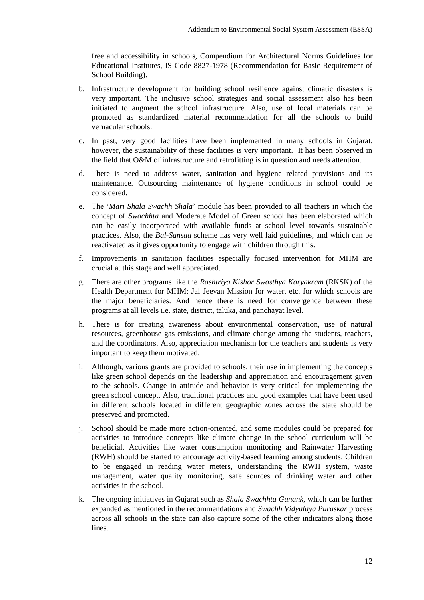free and accessibility in schools, Compendium for Architectural Norms Guidelines for Educational Institutes, IS Code 8827-1978 (Recommendation for Basic Requirement of School Building).

- b. Infrastructure development for building school resilience against climatic disasters is very important. The inclusive school strategies and social assessment also has been initiated to augment the school infrastructure. Also, use of local materials can be promoted as standardized material recommendation for all the schools to build vernacular schools.
- c. In past, very good facilities have been implemented in many schools in Gujarat, however, the sustainability of these facilities is very important. It has been observed in the field that O&M of infrastructure and retrofitting is in question and needs attention.
- d. There is need to address water, sanitation and hygiene related provisions and its maintenance. Outsourcing maintenance of hygiene conditions in school could be considered.
- e. The '*Mari Shala Swachh Shala*' module has been provided to all teachers in which the concept of *Swachhta* and Moderate Model of Green school has been elaborated which can be easily incorporated with available funds at school level towards sustainable practices. Also, the *Bal-Sansad* scheme has very well laid guidelines, and which can be reactivated as it gives opportunity to engage with children through this.
- f. Improvements in sanitation facilities especially focused intervention for MHM are crucial at this stage and well appreciated.
- g. There are other programs like the *Rashtriya Kishor Swasthya Karyakram* (RKSK) of the Health Department for MHM; Jal Jeevan Mission for water, etc. for which schools are the major beneficiaries. And hence there is need for convergence between these programs at all levels i.e. state, district, taluka, and panchayat level.
- h. There is for creating awareness about environmental conservation, use of natural resources, greenhouse gas emissions, and climate change among the students, teachers, and the coordinators. Also, appreciation mechanism for the teachers and students is very important to keep them motivated.
- i. Although, various grants are provided to schools, their use in implementing the concepts like green school depends on the leadership and appreciation and encouragement given to the schools. Change in attitude and behavior is very critical for implementing the green school concept. Also, traditional practices and good examples that have been used in different schools located in different geographic zones across the state should be preserved and promoted.
- j. School should be made more action-oriented, and some modules could be prepared for activities to introduce concepts like climate change in the school curriculum will be beneficial. Activities like water consumption monitoring and Rainwater Harvesting (RWH) should be started to encourage activity-based learning among students. Children to be engaged in reading water meters, understanding the RWH system, waste management, water quality monitoring, safe sources of drinking water and other activities in the school.
- k. The ongoing initiatives in Gujarat such as *Shala Swachhta Gunank*, which can be further expanded as mentioned in the recommendations and *Swachh Vidyalaya Puraskar* process across all schools in the state can also capture some of the other indicators along those lines.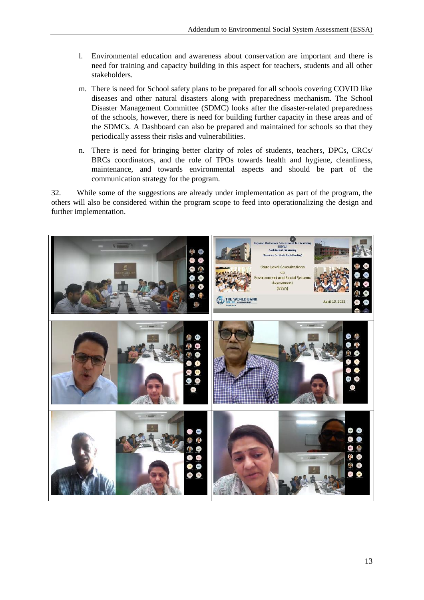- l. Environmental education and awareness about conservation are important and there is need for training and capacity building in this aspect for teachers, students and all other stakeholders.
- m. There is need for School safety plans to be prepared for all schools covering COVID like diseases and other natural disasters along with preparedness mechanism. The School Disaster Management Committee (SDMC) looks after the disaster-related preparedness of the schools, however, there is need for building further capacity in these areas and of the SDMCs. A Dashboard can also be prepared and maintained for schools so that they periodically assess their risks and vulnerabilities.
- n. There is need for bringing better clarity of roles of students, teachers, DPCs, CRCs/ BRCs coordinators, and the role of TPOs towards health and hygiene, cleanliness, maintenance, and towards environmental aspects and should be part of the communication strategy for the program.

32. While some of the suggestions are already under implementation as part of the program, the others will also be considered within the program scope to feed into operationalizing the design and further implementation.

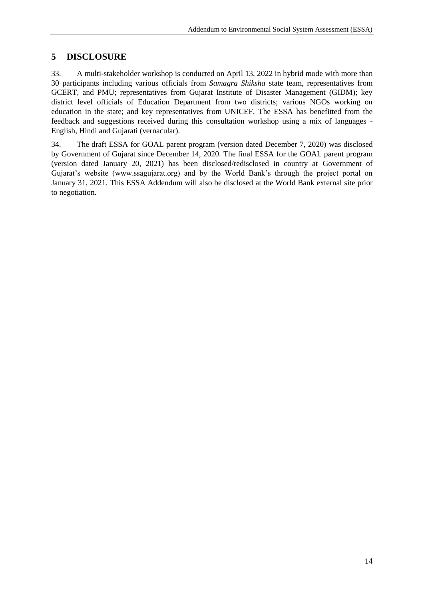# <span id="page-13-0"></span>**5 DISCLOSURE**

33. A multi-stakeholder workshop is conducted on April 13, 2022 in hybrid mode with more than 30 participants including various officials from *Samagra Shiksha* state team, representatives from GCERT, and PMU; representatives from Gujarat Institute of Disaster Management (GIDM); key district level officials of Education Department from two districts; various NGOs working on education in the state; and key representatives from UNICEF. The ESSA has benefitted from the feedback and suggestions received during this consultation workshop using a mix of languages - English, Hindi and Gujarati (vernacular).

<span id="page-13-1"></span>34. The draft ESSA for GOAL parent program (version dated December 7, 2020) was disclosed by Government of Gujarat since December 14, 2020. The final ESSA for the GOAL parent program (version dated January 20, 2021) has been disclosed/redisclosed in country at Government of Gujarat's website (www.ssagujarat.org) and by the World Bank's through the project portal on January 31, 2021. This ESSA Addendum will also be disclosed at the World Bank external site prior to negotiation.